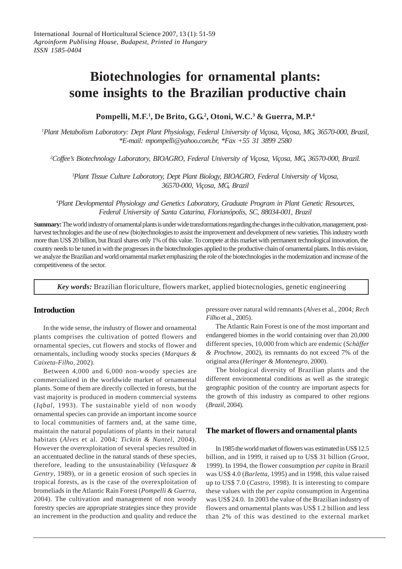# **Biotechnologies for ornamental plants: some insights to the Brazilian productive chain**

# **Pompelli, M.F.1 , De Brito, G.G.2 , Otoni, W.C.3 & Guerra, M.P.4**

*1 Plant Metabolism Laboratory: Dept Plant Physiology, Federal University of Viçosa, Viçosa, MG, 36570-000, Brazil, \*E-mail: mpompelli@yahoo.com.br, \*Fax +55 31 3899 2580*

*2 Coffee's Biotechnology Laboratory, BIOAGRO, Federal University of Viçosa, Viçosa, MG, 36570-000, Brazil.*

*3 Plant Tissue Culture Laboratory, Dept Plant Biology, BIOAGRO, Federal University of Viçosa, 36570-000, Viçosa, MG, Brazil*

*4 Plant Devlopmental Physiology and Genetics Laboratory, Graduate Program in Plant Genetic Resources, Federal University of Santa Catarina, Florianópolis, SC, 88034-001, Brazil*

**Summary:** The world industry of ornamental plants is under wide transformations regarding the changes in the cultivation, management, postharvest technologies and the use of new (bio)technologies to assist the improvement and development of new varieties. This industry worth more than US\$ 20 billion, but Brazil shares only 1% of this value. To compete at this market with permanent technological innovation, the country needs to be tuned in with the progresses in the biotechnologies applied to the productive chain of ornamental plants. In this revision, we analyze the Brazilian and world ornamental market emphasizing the role of the biotechnologies in the modernization and increase of the competitiveness of the sector.

*Key words:* Brazilian floriculture, flowers market, applied biotecnologies, genetic engineering

## **Introduction**

In the wide sense, the industry of flower and ornamental plants comprises the cultivation of potted flowers and ornamental species, cut flowers and stocks of flower and ornamentals, including woody stocks species (*Marques & Caixeta-Filho*, 2002).

Between 4,000 and 6,000 non-woody species are commercialized in the worldwide market of ornamental plants. Some of them are directly collected in forests, but the vast majority is produced in modern commercial systems (*Iqbal*, 1993). The sustainable yield of non woody ornamental species can provide an important income source to local communities of farmers and, at the same time, maintain the natural populations of plants in their natural habitats (*Alves* et al. 2004*; Ticktin & Nantel*, 2004). However the overexploitation of several species resulted in an accentuated decline in the natural stands of these species, therefore, leading to the unsustainability (*Velasquez & Gentry*, 1989), or in a genetic erosion of such species in tropical forests, as is the case of the overexploitation of bromeliads in the Atlantic Rain Forest (*Pompelli & Guerra*, 2004). The cultivation and management of non woody forestry species are appropriate strategies since they provide an increment in the production and quality and reduce the

pressure over natural wild remnants (*Alves* et al., 2004*; Rech Filho* et al., 2005).

The Atlantic Rain Forest is one of the most important and endangered biomes in the world containing over than 20,000 different species, 10,000 from which are endemic (*Schäffer & Prochnow*, 2002), its remnants do not exceed 7% of the original area (*Heringer & Montenegro*, 2000).

The biological diversity of Brazilian plants and the different environmental conditions as well as the strategic geographic position of the country are important aspects for the growth of this industry as compared to other regions (*Brazil*, 2004).

## **The market of flowers and ornamental plants**

In 1985 the world market of flowers was estimated in US\$ 12.5 billion, and in 1999, it raised up to US\$ 31 billion (*Groot*, 1999). In 1994, the flower consumption *per capita* in Brazil was US\$ 4.0 (*Barletta*, 1995) and in 1998, this value raised up to US\$ 7.0 (*Castro*, 1998). It is interesting to compare these values with the *per capita* consumption in Argentina was US\$ 24.0. In 2003 the value of the Brazilian industry of flowers and ornamental plants was US\$ 1.2 billion and less than 2% of this was destined to the external market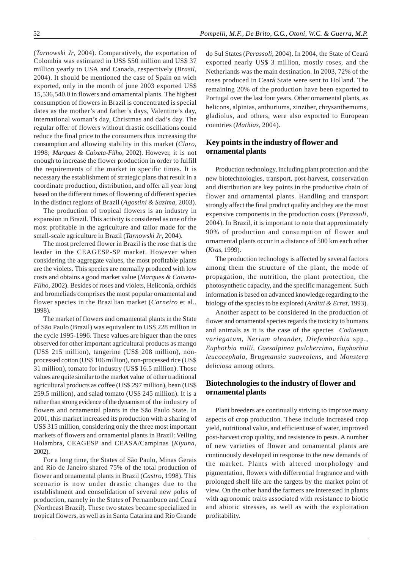(*Tarnowski Jr*, 2004). Comparatively, the exportation of Colombia was estimated in US\$ 550 million and US\$ 37 million yearly to USA and Canada, respectively (*Brasil*, 2004). It should be mentioned the case of Spain on wich exported, only in the month of june 2003 exported US\$ 15,536,540.0 in flowers and ornamental plants. The highest consumption of flowers in Brazil is concentrated is special dates as the mother's and father's days, Valentine's day, international woman's day, Christmas and dad's day. The regular offer of flowers without drastic oscillations could reduce the final price to the consumers thus increasing the consumption and allowing stability in this market (*Claro*, 1998; *Marques & Caixeta-Filho*, 2002). However, it is not enough to increase the flower production in order to fulfill the requirements of the market in specific times. It is necessary the establishment of strategic plans that result in a coordinate production, distribution, and offer all year long based on the different times of flowering of different species in the distinct regions of Brazil (*Agostini & Sazima*, 2003).

The production of tropical flowers is an industry in expansion in Brazil. This activity is considered as one of the most profitable in the agriculture and tailor made for the small-scale agriculture in Brazil (*Tarnowski Jr*, 2004).

The most preferred flower in Brazil is the rose that is the leader in the CEAGESP-SP market. However when considering the aggregate values, the most profitable plants are the violets. This species are normally produced with low costs and obtains a good market value (*Marques & Caixeta-Filho*, 2002). Besides of roses and violets, Heliconia, orchids and bromeliads comprises the most popular ornamental and flower species in the Brazilian market (*Carneiro* et al., 1998).

The market of flowers and ornamental plants in the State of São Paulo (Brazil) was equivalent to US\$ 228 million in the cycle 1995-1996. These values are higuer than the ones observed for other important agricultural products as mango (US\$ 215 million), tangerine (US\$ 208 million), nonprocessed cotton (US\$ 106 million), non-processed rice (US\$ 31 million), tomato for industry (US\$ 16.5 million). Those values are quite similar to the market value of other traditional agricultural products as coffee (US\$ 297 million), bean (US\$ 259.5 million), and salad tomato (US\$ 245 million). It is a rather than strong evidence of the dynamism of the industry of flowers and ornamental plants in the São Paulo State. In 2001, this market increased its production with a sharing of US\$ 315 million, considering only the three most important markets of flowers and ornamental plants in Brazil: Veiling Holambra, CEAGESP and CEASA/Campinas (*Kiyuna*, 2002).

For a long time, the States of São Paulo, Minas Gerais and Rio de Janeiro shared 75% of the total production of flower and ornamental plants in Brazil (*Castro*, 1998). This scenario is now under drastic changes due to the establishment and consolidation of several new poles of production, namely in the States of Pernambuco and Ceará (Northeast Brazil). These two states became specialized in tropical flowers, as well as in Santa Catarina and Rio Grande do Sul States (*Perassoli*, 2004). In 2004, the State of Ceará exported nearly US\$ 3 million, mostly roses, and the Netherlands was the main destination. In 2003, 72% of the roses produced in Ceará State were sent to Holland. The remaining 20% of the production have been exported to Portugal over the last four years. Other ornamental plants, as helicons, alpinias, anthuriums, zinziber, chrysanthemums, gladiolus, and others, were also exported to European countries (*Mathias*, 2004).

## **Key points in the industry of flower and ornamental plants**

Production technology, including plant protection and the new biotechnologies, transport, post-harvest, conservation and distribution are key points in the productive chain of flower and ornamental plants. Handling and transport strongly affect the final product quality and they are the most expensive components in the production costs (*Perassoli*, 2004). In Brazil, it is important to note that approximately 90% of production and consumption of flower and ornamental plants occur in a distance of 500 km each other (*Kras*, 1999).

The production technology is affected by several factors among them the structure of the plant, the mode of propagation, the nutrition, the plant protection, the photosynthetic capacity, and the specific management. Such information is based on advanced knowledge regarding to the biology of the species to be explored (*Arditti & Ernst*, 1993).

Another aspect to be considered in the production of flower and ornamental species regards the toxicity to humans and animals as it is the case of the species *Codiaeum variegatum, Nerium oleander, Diefembachia* spp., *Euphorbia milli, Caesalpinea pulcherrima, Euphorbia leucocephala, Brugmansia suaveolens,* and *Monstera deliciosa* among others.

# **Biotechnologies to the industry of flower and ornamental plants**

Plant breeders are continually striving to improve many aspects of crop production. These include increased crop yield, nutritional value, and efficient use of water, improved post-harvest crop quality, and resistence to pests. A number of new varieties of flower and ornamental plants are continuously developed in response to the new demands of the market. Plants with altered morphology and pigmentation, flowers with differential fragrance and with prolonged shelf life are the targets by the market point of view. On the other hand the farmers are interested in plants with agronomic traits associated with resistance to biotic and abiotic stresses, as well as with the exploitation profitability.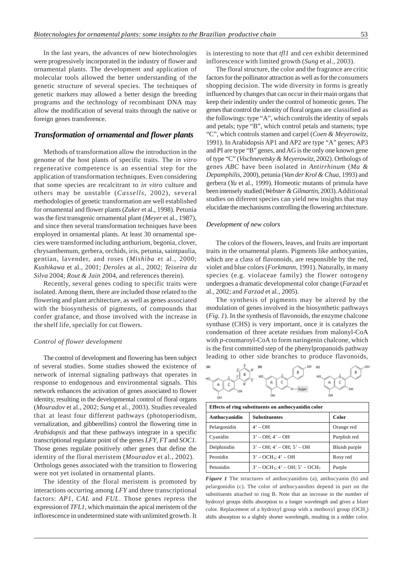In the last years, the advances of new biotechnologies were progressively incorporated in the industry of flower and ornamental plants. The development and application of molecular tools allowed the better understanding of the genetic structure of several species. The techniques of genetic markers may allowed a better design the breeding programs and the technology of recombinant DNA may allow the modification of several traits through the native or foreign genes transference.

## *Transformation of ornamental and flower plants*

Methods of transformation allow the introduction in the genome of the host plants of specific traits. The *in vitro* regenerative competence is an essential step for the application of transformation techniques. Even considering that some species are recalcitrant to *in vitro* culture and others may be unstable (*Cassells*, 2002), several methodologies of genetic transformation are well established for ornamental and flower plants (*Zuker* et al., 1998). Petunia was the first transgenic ornamental plant (*Meyer* et al., 1987), and since then several transformation techniques have been employed in ornamental plants. At least 30 ornamental species were transformed including anthurium, begonia, clover, chrysanthemum, gerbera, orchids, iris, petunia, saintpaulia, gentian, lavender, and roses (*Mishiba* et al., 2000; *Kushikawa* et al., 2001; *Deroles* at al., 2002; *Teixeira da Silva* 2004; *Rout & Jain* 2004, and references therein).

Recently, several genes coding to specific traits were isolated. Among them, there are included those related to the flowering and plant architecture, as well as genes associated with the biosynthesis of pigments, of compounds that confer grafance, and those involved with the increase in the shelf life, specially for cut flowers.

#### *Control of flower development*

The control of development and flowering has been subject of several studies. Some studies showed the existence of network of internal signaling pathways that operates in response to endogenous and environmental signals. This network enhances the activation of genes associated to flower identity, resulting in the developmental control of floral organs (*Mouradov* et al., 2002; *Sung* et al., 2003). Studies revealed that at least four different pathways (photoperiodism, vernalization, and gibberellins) control the flowering time in *Arabidopsis* and that these pathways integrate in a specific transcriptional regulator point of the genes *LFY*, *FT* and *SOC1*. Those genes regulate positively other genes that define the identity of the floral meristem (*Mouradov* et al., 2002). Orthologs genes associated with the transition to flowering were not yet isolated in ornamental plants.

The identity of the floral meristem is promoted by interactions occurring among *LFY* and three transcriptional factors: *AP1, CAL* and *FUL*. Those genes repress the expression of *TFL1*, which maintain the apical meristem of the inflorescence in undetermined state with unlimited growth. It is interesting to note that *tfl1* and *cen* exhibit determined inflorescence with limited growth (*Sung* et al., 2003).

The floral structure, the color and the fragrance are critic factors for the pollinator attraction as well as for the consumers shopping decision. The wide diversity in forms is greatly influenced by changes that can occur in their main organs that keep their indentity under the control of homeotic genes. The genes that control the identity of floral organs are classified as the followings: type "A", which controls the identity of sepals and petals; type "B", which control petals and stamens; type "C", which controls stamen and carpel (*Coen & Meyerowitz*, 1991). In Arabidopsis AP1 and AP2 are type "A" genes; AP3 and PI are type "B" genes, and AG is the only one known gene of type "C" (*Vischnevetsky & Meyerowitz*, 2002). Orthologs of genes *ABC* have been isolated in *Antirrhinum* (*Ma & Depamphilis*, 2000), petunia (*Van der Krol & Chua*, 1993) and gerbera (*Yu* et al., 1999). Homeotic mutants of primula have been intensely studied (*Webster & Gilmartin*, 2003). Additional studies on diferent species can yield new insights that may elucidate the mechanisms controlling the flowering architecture.

#### *Development of new colors*

The colors of the flowers, leaves, and fruits are important traits in the ornamental plants. Pigments like anthocyanins, which are a class of flavonoids, are responsible by the red, violet and blue colors (*Forkmann*, 1991). Naturally, in many species (e.g. violaceae family) the flower ontogeny undergoes a dramatic developmental color change (*Farzad* et al., 2002; and *Farzad* et al., 2005).

The synthesis of pigments may be altered by the modulation of genes involved in the biosynthetic pathways (*Fig. 1*). In the synthesis of flavonoids, the enzyme chalcone synthase (CHS) is very important, once it is catalyzes the condensation of three acetate residues from malonyl-CoA with *p*-coumaroyl-CoA to form naringenin chalcone, which is the first committed step of the phenylpropanoids pathway leading to other side branches to produce flavonoids,



| Effects of ring substituents on anthocyanidin color |                                         |               |
|-----------------------------------------------------|-----------------------------------------|---------------|
| Anthocyanidin                                       | <b>Substituentes</b>                    | Color         |
| Pelargonidin                                        | $4' - OH$                               | Orange red    |
| Cyanidin                                            | $3' - OH$ : $4' - OH$                   | Purplish red  |
| Delphinidin                                         | $3' - OH$ : 4' $- OH$ : 5' $- OH$       | Bluish purple |
| Peonidin                                            | $3' - OCH_3$ ; $4' - OH$                | Rosy red      |
| Petunidin                                           | $3' - OCH_3$ ; $4' - OH$ ; $5' - OCH_3$ | Purple        |

*Figure 1* The structures of anthocyanidins (a), anthocyanin (b) and pelargonidin (c). The color of anthocyanidins depend in part on the substituents attached to ring B. Note that an increase in the number of hydroxyl groups shifts absorption to a longer wavelength and gives a bluer color. Replacement of a hydroxyl group with a methoxyl group (OCH<sub>3</sub>) shifts absorption to a slightly shorter wavelength, resulting in a redder color.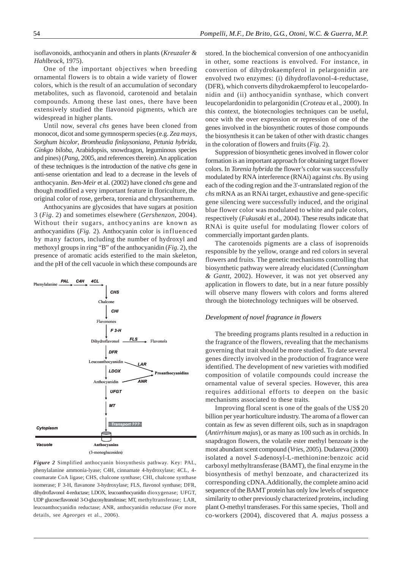isoflavonoids, anthocyanin and others in plants (*Kreuzaler & Hahlbrock*, 1975).

One of the important objectives when breeding ornamental flowers is to obtain a wide variety of flower colors, which is the result of an accumulation of secondary metabolites, such as flavonoid, carotenoid and betalain compounds. Among these last ones, there have been extensively studied the flavonoid pigments, which are widespread in higher plants.

Until now, several *chs* genes have been cloned from monocot, dicot and some gymnosperm species (e.g. *Zea mays*, *Sorghum bicolor*, *Bromheadia finlaysoniana*, *Petunia hybrida*, *Ginkgo biloba*, Arabidopsis, snowdragon, leguminous species and pines) (*Pang*, 2005, and references therein). An application of these techniques is the introduction of the native *chs* gene in anti-sense orientation and lead to a decrease in the levels of anthocyanin. *Ben-Meir* et al. (2002) have cloned *chs* gene and though modified a very important feature in floriculture, the original color of rose, gerbera, torenia and chrysanthemum.

Anthocyanins are glycosides that have sugars at position 3 (*Fig*. 2) and sometimes elsewhere (*Gershenzon*, 2004). Without their sugars, anthocyanins are known as anthocyanidins (*Fig.* 2). Anthocyanin color is influenced by many factors, including the number of hydroxyl and methoxyl groups in ring "B" of the anthocyanidin (*Fig*. 2), the presence of aromatic acids esterified to the main skeleton, and the pH of the cell vacuole in which these compounds are



*Figure 2* Simplified anthocyanin biosynthesis pathway. Key: PAL, phenylalanine ammonia-lyase; C4H, cinnamate 4-hydroxylase; 4CL, 4 coumarate CoA ligase; CHS, chalcone synthase; CHI, chalcone synthase isomerase; F 3-H, flavanone 3-hydroxylase; FLS, flavonol synthase; DFR, dihydroflavonol 4-reductase; LDOX, leucoanthocyanidin dioxygenase; UFGT, UDP glucose:flavonoid 3-O-glucosyltransferase; MT, methyltransferase; LAR, leucoanthocyanidin reductase; ANR, anthocyanidin reductase (For more details, see *Ageorges* et al., 2006).

stored. In the biochemical conversion of one anthocyanidin in other, some reactions is envolved. For instance, in convertion of dihydrokaempferol in pelargonidin are envolved two enzymes: (i) dihydroflavonol-4-reductase, (DFR), which converts dihydrokaempferol to leucopelardonidin and (ii) anthocyanidin synthase, which convert leucopelardonidin to pelargonidin (*Croteau* et al., 2000). In this context, the biotecnologies techniques can be useful, once with the over expression or repression of one of the genes involved in the biosynthetic routes of those compounds the biosynthesis it can be taken of other with drastic changes in the coloration of flowers and fruits (*Fig.* 2).

Suppression of biosynthetic genes involved in flower color formation is an important approach for obtaining target flower colors. In *Torenia hybrida* the flower's color was successfully modulated by RNA interference (RNAi) against *chs*. By using each of the coding region and the 3'-untranslated region of the *chs* mRNA as an RNAi target, exhaustive and gene-specific gene silencing were successfully induced, and the original blue flower color was modulated to white and pale colors, respectively (*Fukusaki* et al., 2004). These results indicate that RNAi is quite useful for modulating flower colors of commercially important garden plants.

The carotenoids pigments are a class of isoprenoids responsible by the yellow, orange and red colors in several flowers and fruits. The genetic mechanisms controlling that biosynthetic pathway were already elucidated (*Cunningham & Gantt*, 2002). However, it was not yet observed any application in flowers to date, but in a near future possibly will observe many flowers with colors and forms altered through the biotechnology techniques will be observed.

#### *Development of novel fragrance in flowers*

The breeding programs plants resulted in a reduction in the fragrance of the flowers, revealing that the mechanisms governing that trait should be more studied. To date several genes directly involved in the production of fragrance were identified. The development of new varieties with modified composition of volatile compounds could increase the ornamental value of several species. However, this area requires additional efforts to deepen on the basic mechanisms associated to these traits.

Improving floral scent is one of the goals of the US\$ 20 billion per year horticulture industry. The aroma of a flower can contain as few as seven different oils, such as in snapdragon (*Antirrhinum majus*), or as many as 100 such as in orchids. In snapdragon flowers, the volatile ester methyl benzoate is the most abundant scent compound (*Vries*, 2005). Dudareva (2000) isolated a novel *S*-adenosyl-L-methionine:benzoic acid carboxyl methyltransferase (BAMT), the final enzyme in the biosynthesis of methyl benzoate, and characterized its corresponding cDNA.Additionally, the complete amino acid sequence of the BAMT protein has only low levels of sequence similarity to other previously characterized proteins, including plant O-methyl transferases. For this same species, Tholl and co-workers (2004), discovered that *A. majus* possess a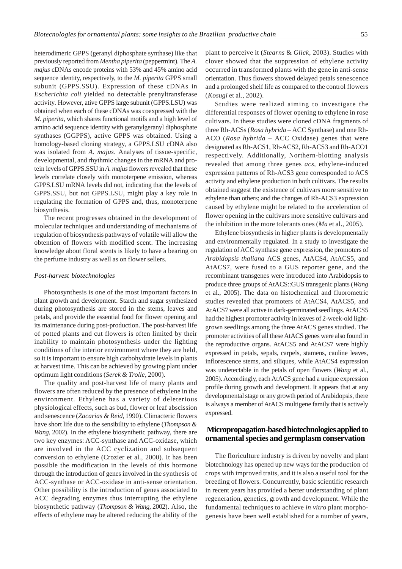heterodimeric GPPS (geranyl diphosphate synthase) like that previously reported from *Mentha piperita* (peppermint). The *A. majus* cDNAs encode proteins with 53% and 45% amino acid sequence identity, respectively, to the *M. piperita* GPPS small subunit (GPPS.SSU). Expression of these cDNAs in *Escherichia coli* yielded no detectable prenyltransferase activity. However, ative GPPS large subunit (GPPS.LSU) was obtained when each of these cDNAs was coexpressed with the *M. piperita*, which shares functional motifs and a high level of amino acid sequence identity with geranylgeranyl diphosphate synthases (GGPPS), active GPPS was obtained. Using a homology-based cloning strategy, a GPPS.LSU cDNA also was isolated from *A. majus*. Analyses of tissue-specific, developmental, and rhythmic changes in the mRNA and protein levels of GPPS.SSU in *A. majus* flowers revealed that these levels correlate closely with monoterpene emission, whereas GPPS.LSU mRNA levels did not, indicating that the levels of GPPS.SSU, but not GPPS.LSU, might play a key role in regulating the formation of GPPS and, thus, monoterpene biosynthesis.

The recent progresses obtained in the development of molecular techniques and understanding of mechanisms of regulation of biosynthesis pathways of volatile will allow the obtention of flowers with modified scent. The increasing knowledge about floral scents is likely to have a bearing on the perfume industry as well as on flower sellers.

#### *Post-harvest biotechnologies*

Photosynthesis is one of the most important factors in plant growth and development. Starch and sugar synthesized during photosynthesis are stored in the stems, leaves and petals, and provide the essential food for flower opening and its maintenance during post-production. The post-harvest life of potted plants and cut flowers is often limited by their inability to maintain photosynthesis under the lighting conditions of the interior environment where they are held, so it is important to ensure high carbohydrate levels in plants at harvest time. This can be achieved by growing plant under optimum light conditions (*Serek & Trolle*, 2000).

The quality and post-harvest life of many plants and flowers are often reduced by the presence of ethylene in the environment. Ethylene has a variety of deleterious physiological effects, such as bud, flower or leaf abscission and senescence (*Zacarias & Reid*, 1990). Climacteric flowers have short life due to the sensibility to ethylene (*Thompson & Wang*, 2002). In the ethylene biosynthetic pathway, there are two key enzymes: ACC-synthase and ACC-oxidase, which are involved in the ACC cyclization and subsequent conversion to ethylene (Crozier et al., 2000). It has been possible the modification in the levels of this hormone through the introduction of genes involved in the synthesis of ACC-synthase or ACC-oxidase in anti-sense orientation. Other possibility is the introduction of genes associated to ACC degrading enzymes thus interrupting the ethylene biosynthetic pathway (*Thompson & Wang*, 2002). Also, the effects of ethylene may be altered reducing the ability of the

plant to perceive it (*Stearns* & *Glick*, 2003). Studies with clover showed that the suppression of ethylene activity occurred in transformed plants with the gene in anti-sense orientation. Thus flowers showed delayed petals senescence and a prolonged shelf life as compared to the control flowers (*Kosugi* et al., 2002).

Studies were realized aiming to investigate the differential responses of flower opening to ethylene in rose cultivars. In these studies were cloned cDNA fragments of three Rh-ACSs (*Rosa hybrida –* ACC Synthase) and one Rh-ACO (*Rosa hybrida –* ACC Oxidase) genes that were designated as Rh-ACS1, Rh-ACS2, Rh-ACS3 and Rh-ACO1 respectively. Additionally, Northern-blotting analysis revealed that among three genes *acs*, ethylene-induced expression patterns of Rh-ACS3 gene corresponded to ACS activity and ethylene production in both cultivars. The results obtained suggest the existence of cultivars more sensitive to ethylene than others; and the changes of Rh-ACS3 expression caused by ethylene might be related to the acceleration of flower opening in the cultivars more sensitive cultivars and the inhibition in the more tolerants ones (*Ma* et al., 2005).

Ethylene biosynthesis in higher plants is developmentally and environmentally regulated. In a study to investigate the regulation of ACC synthase gene expression, the promoters of *Arabidopsis thaliana* ACS genes, AtACS4, AtACS5, and AtACS7, were fused to a GUS reporter gene, and the recombinant transgenes were introduced into Arabidopsis to produce three groups of AtACS::GUS transgenic plants (*Wang* et al., 2005). The data on histochemical and fluorometric studies revealed that promoters of AtACS4, AtACS5, and AtACS7 were all active in dark-germinated seedlings. AtACS5 had the highest promoter activity in leaves of 2-week-old lightgrown seedlings among the three AtACS genes studied. The promoter activities of all these AtACS genes were also found in the reproductive organs. AtACS5 and AtACS7 were highly expressed in petals, sepals, carpels, stamens, cauline leaves, inflorescence stems, and siliques, while AtACS4 expression was undetectable in the petals of open flowers (*Wang* et al., 2005). Accordingly, each AtACS gene had a unique expression profile during growth and development. It appears that at any developmental stage or any growth period of Arabidopsis, there is always a member of AtACS multigene family that is actively expressed.

# **Micropropagation-based biotechnologies applied to ornamental species and germplasm conservation**

The floriculture industry is driven by novelty and plant biotechnology has opened up new ways for the production of crops with improved traits, and it is also a useful tool for the breeding of flowers. Concurrently, basic scientific research in recent years has provided a better understanding of plant regeneration, genetics, growth and development. While the fundamental techniques to achieve *in vitro* plant morphogenesis have been well established for a number of years,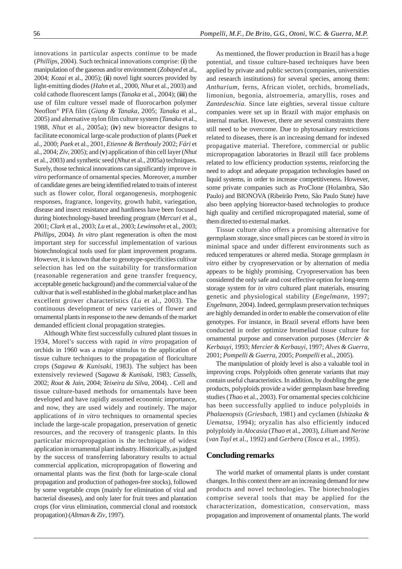innovations in particular aspects continue to be made (*Phillips*, 2004). Such technical innovations comprise: (**i**) the manipulation of the gaseous and/or environment (*Zobayed* et al., 2004; *Kozai* et al., 2005); (**ii**) novel light sources provided by light-emitting diodes (*Hahn* et al., 2000, *Nhut* et al., 2003) and cold cathode fluorescent lamps (*Tanaka* et al., 2004); (**iii**) the use of film culture vessel made of fluorocarbon polymer Neoflon® PFA film (*Giang & Tanaka*, 2005; *Tanaka* et al., 2005) and alternative nylon film culture system (*Tanaka* et al., 1988, *Nhut* et al., 2005a); (**iv**) new bioreactor designs to facilitate economical large-scale production of plants (*Paek* et al., 2000; *Paek* et al., 2001, *Etienne & Berthouly* 2002; *Fári* et al., 2004; *Ziv*, 2005); and (**v**) application of thin cell layer (*Nhut* et al., 2003) and synthetic seed (*Nhut* et al., 2005a) techniques. Surely, those technical innovations can significantly improve *in vitro* performance of ornamental species. Moreover, a number of candidate genes are being identified related to traits of interest such as flower color, floral organogenesis, morphogenic responses, fragrance, longevity, growth habit, variegation, disease and insect resistance and hardiness have been focused during biotechnology-based breeding program (*Mercuri* et al., 2001; *Clark* et al., 2003; *Lu* et al., 2003; *Lewinsohn* et al., 2003; *Phillips,* 2004). *In vitro* plant regeneration is often the most important step for successful implementation of various biotechnological tools used for plant improvement programs. However, it is known that due to genotype-specificities cultivar selection has led on the suitability for transformation (reasonable regeneration and gene transfer frequency, acceptable genetic background) and the commercial value of the cultivar that is well established in the global market place and has excellent grower characteristics (*Lu* et al., 2003). The continuous development of new varieties of flower and ornamental plants in response to the new demands of the market demanded efficient clonal propagation strategies.

Although White first successfully cultured plant tissues in 1934, Morel's success with rapid *in vitro* propagation of orchids in 1960 was a major stimulus to the application of tissue culture techniques to the propagation of floriculture crops (*Sagawa & Kunisaki*, 1983). The subject has been extensively reviewed (S*agawa & Kunisaki,* 1983; *Cassells*, 2002; *Rout & Jain*, 2004; *Teixeira da Silva,* 2004). . Cell and tissue culture-based methods for ornamentals have been developed and have rapidly assumed economic importance, and now, they are used widely and routinely. The major applications of *in vitro* techniques to ornamental species include the large-scale propagation, preservation of genetic resources, and the recovery of transgenic plants. In this particular micropropagation is the technique of widest application in ornamental plant industry. Historically, as judged by the success of transferring laboratory results to actual commercial application, micropropagation of flowering and ornamental plants was the first (both for large-scale clonal propagation and production of pathogen-free stocks), followed by some vegetable crops (mainly for elimination of viral and bacterial diseases), and only later for fruit trees and plantation crops (for virus elimination, commercial clonal and rootstock propagation) (*Altman & Ziv*, 1997).

As mentioned, the flower production in Brazil has a huge potential, and tissue culture-based techniques have been applied by private and public sectors (companies, universities and research institutions) for several species, among them: *Anthurium*, ferns, African violet, orchids, bromeliads, limoniun, begonia, alstroemeria, amaryllis, roses and *Zantedeschia*. Since late eighties, several tissue culture companies were set up in Brazil with major emphasis on internal market. However, there are several constraints there still need to be overcome. Due to phytosanitary restrictions related to diseases, there is an increasing demand for indexed propagative material. Therefore, commercial or public micropropagation laboratories in Brazil still face problems related to low efficiency production systems, reinforcing the need to adopt and adequate propagation technologies based on liquid systems, in order to increase competitiveness. However, some private companies such as ProClone (Holambra, São Paulo) and BIONOVA (Ribeirão Preto, São Paulo State) have also been applying bioreactor-based technologies to produce high quality and certified micropropagated material, some of them directed to external market.

Tissue culture also offers a promising alternative for germplasm storage, since small pieces can be stored *in vitro* in minimal space and under different environments such as reduced temperatures or altered media. Storage germplasm *in vitro* either by cryopreservation or by alternation of media appears to be highly promising. Cryopreservation has been considered the only safe and cost effective option for long-term storage system for *in vitro* cultured plant materials, ensuring genetic and physiological stability (*Engelmann*, 1997; *Engelmann*, 2004). Indeed, germplasm preservation techniques are highly demanded in order to enable the conservation of elite genotypes. For instance, in Brazil several efforts have been conducted in order optimize bromeliad tissue culture for ornamental purpose and conservation purposes (*Mercier & Kerbauyi*, 1993; *Mercier & Kerbauyi*, 1997; *Alves & Guerra,* 2001; *Pompelli & Guerra*, 2005; *Pompelli* et al., 2005).

The manipulation of ploidy level is also a valuable tool in improving crops. Polyploids often generate variants that may contain useful characteristics. In addition, by doubling the gene products, polyploids provide a wider germplasm base breeding studies (*Thao* et al., 2003). For ornamental species colchicine has been successfully applied to induce polyploids in *Phalaenopsis* (*Griesbach*, 1981) and cyclamen (*Ishizaka & Uematsu*, 1994); oryzalin has also efficiently induced polyploidy in *Alocasia* (*Thao* et al., 2003), *Lilium* and *Nerine* (*van Tuyl* et al., 1992) and *Gerbera* (*Tosca* et al., 1995).

### **Concluding remarks**

The world market of ornamental plants is under constant changes. In this context there are an increasing demand for new products and novel technologies. The biotechnologies comprise several tools that may be applied for the characterization, domestication, conservation, mass propagation and improvement of ornamental plants. The world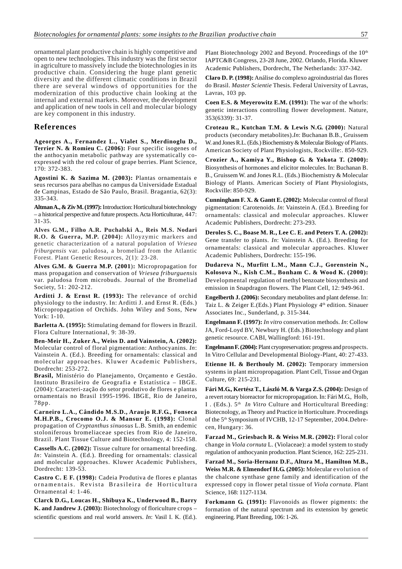ornamental plant productive chain is highly competitive and open to new technologies. This industry was the first sector in agriculture to massively include the biotechnologies in its productive chain. Considering the huge plant genetic diversity and the different climatic conditions in Brazil there are several windows of opportunities for the modernization of this productive chain looking at the internal and external markets. Moreover, the development and application of new tools in cell and molecular biology are key component in this industry.

#### **References**

**Ageorges A., Fernandez L., Vialet S., Merdinoglu D., Terrier N. & Romieu C. (2006):** Four specific isogenes of the anthocyanin metabolic pathway are systematically coexpressed with the red colour of grape berries. Plant Science, 170: 372-383.

**Agostini K. & Sazima M. (2003):** Plantas ornamentais e seus recursos para abelhas no campus da Universidade Estadual de Campinas, Estado de São Paulo, Brasil. Bragantia, 62(3): 335-343.

**Altman A., & Ziv M. (1997):** Introduction: Horticultural biotechnology – a historical perspective and future prospects. Acta Horticulturae, 447: 31-35.

**Alves G.M., Filho A.R. Puchalski A., Reis M.S. Nodari R.O. & Guerra, M.P. (2004):** Alloyzymic markers and genetic characterization of a natural population of *Vriesea friburgensis* var. paludosa, a bromeliad from the Atlantic Forest. Plant Genetic Resources, 2(1): 23-28.

**Alves G.M. & Guerra M.P. (2001**)**:** Micropropagation for mass propagation and conservation of *Vriesea friburguensis* var. paludosa from microbuds. Journal of the Bromeliad Society, 51: 202-212.

**Arditti J. & Ernst R. (1993):** The relevance of orchid physiology to the industry. In: Arditti J. and Ernst R. (Eds.) Micropropagation of Orchids. John Wiley and Sons, New York: 1-10.

**Barletta A. (1995):** Stimulating demand for flowers in Brazil. Flora Culture International, 9: 38-39.

**Ben-Meir H., Zuker A., Weiss D. and Vainstein, A. (2002):** Molecular control of floral pigmentation: Anthocyanins. *In*: Vainstein A. (Ed.). Breeding for ornamentals: classical and molecular approaches. Kluwer Academic Publishers, Dordrecht: 253-272.

**Brasil,** Ministério do Planejamento, Orçamento e Gestão. Instituto Brasileiro de Geografia e Estatística – IBGE. (2004): Caracteri-zação do setor produtivo de flores e plantas ornamentais no Brasil 1995-1996. IBGE, Rio de Janeiro, 78pp.

**Carneiro L.A., Cândido M.S.D., Araujo R.F.G., Fonseca M.H.P.B., Crocomo O.J. & Mansur E. (1998):** Clonal propagation of *Cryptanthus sinuosus* L.B. Smith, an endemic stoloniferous bromeliaceae species from Rio de Janeiro, Brazil. Plant Tissue Culture and Biotechnology, 4: 152-158.

**Cassells A.C. (2002):** Tissue culture for ornamental breeding. *In*: Vainstein A. (Ed.). Breeding for ornamentals: classical and molecular approaches. Kluwer Academic Publishers, Dordrecht: 139-53.

**Castro C. E F. (1998):** Cadeia Produtiva de flores e plantas ornamentais. Revista Brasileira de Horticultura Ornamental 4: 1-46.

**Clarck D.G., Loucas H., Shibuya K., Underwood B., Barry K. and Jandrew J. (2003):** Biotechnology of floriculture crops – scientific questions and real world answers. *In*: Vasil I. K. (Ed.).

Plant Biotechnology 2002 and Beyond. Proceedings of the 10<sup>th</sup> IAPTC&B Congress, 23-28 June, 2002. Orlando, Florida. Kluwer Academic Publishers, Dordrecht, The Netherlands: 337-342.

**Claro D. P. (1998):** Análise do complexo agroindustrial das flores do Brasil. *Master Scientie* Thesis. Federal University of Lavras, Lavras, 103 pp.

**Coen E.S. & Meyerowitz E.M. (1991):** The war of the whorls: genetic interactions controlling flower development. Nature, 353(6339): 31-37.

**Croteau R., Kutchan T.M. & Lewis N.G. (2000):** Natural products (secondary metabolites).*In*: Buchanan B.B., Gruissem W. and Jones R.L. (Eds.) Biochemistry & Molecular Biology of Plants. American Society of Plant Physiologists, Rockville:. 850-929.

**Crozier A., Kamiya Y., Bishop G. & Yokota T. (2000):** Biosynthesis of hormones and elicitor molecules. In: Buchanan B. B., Gruissem W. and Jones R.L. (Eds.) Biochemistry & Molecular Biology of Plants. American Society of Plant Physiologists, Rockville: 850-929.

**Cunningham F. X. & Gantt E. (2002):** Molecular control of floral pigmentation: Carotenoids. *In*: Vainstein A. (Ed.). Breeding for ornamentals: classical and molecular approaches. Kluwer Academic Publishers, Dordrecht: 273-293.

**Deroles S. C., Boase M. R., Lee C. E. and Peters T. A. (2002):** Gene transfer to plants. *In*: Vainstein A. (Ed.). Breeding for ornamentals: classical and molecular approaches. Kluwer Academic Publishers, Dordrecht: 155-196.

**Dudareva N., Murfitt L.M., Mann C.J., Gorenstein N., Kolosova N., Kish C.M., Bonham C. & Wood K. (2000):** Developmental regulation of methyl benzoate biosynthesis and emission in Snapdragon flowers. The Plant Cell, 12: 949-961.

**Engelberth J. (2006):** Secondary metabolites and plant defense. In: Taiz L. & Zeiger E.(Eds.) Plant Physiology 4<sup>th</sup> edition. Sinauer Associates Inc., Sunderland, p. 315-344.

**Engelmann F. (1997):** *In vitro* conservation methods. *In*: Collow JA, Ford-Loyd BV, Newbury H. (Eds.) Biotechnology and plant genetic resource. CABI, Wallingford: 161-191.

**Engelmann F. (2004):** Plant cryopreservation: progress and prospects. In Vitro Cellular and Developmental Biology-Plant, 40: 27-433.

**Etienne H. & Berthouly M. (2002):** Temporary immersion systems in plant micropropagation. Plant Cell, Tissue and Organ Culture, 69: 215-231.

**Fári M.G., Kertész T., László M. & Varga Z.S. (2004):** Design of a revert rotary bioreactor for micropropagation. In: Fári M.G., Holb, I . (Eds.). 5th *In Vitro* Culture and Horticultural Breeding: Biotecnology, as Theory and Practice in Horticulture. Proceedings of the 5th Symposium of IVCHB, 12-17 September, 2004.Debrecen, Hungary: 36.

**Farzad M., Griesbach R. & Weiss M.R. (2002):** Floral color change in *Viola cornuta* L. (Violaceae): a model system to study regulation of anthocyanin production. Plant Science, 162: 225-231.

**Farzad M., Soria-Hernanz D.F., Altura M., Hamilton M.B., Weiss M.R. & Elmendorf H.G. (2005):** Molecular evolution of the chalcone synthase gene family and identification of the expressed copy in flower petal tissue of *Viola cornuta*. Plant Science, 168: 1127-1134.

**Forkmann G. (1991):** Flavonoids as flower pigments: the formation of the natural spectrum and its extension by genetic engineering. Plant Breeding, 106: 1-26.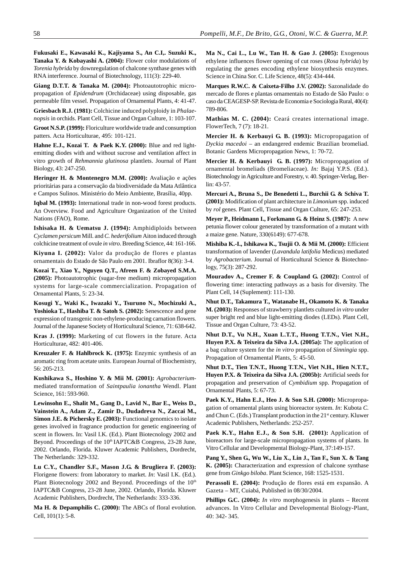**Fukusaki E., Kawasaki K., Kajiyama S., An C.I,. Suzuki K., Tanaka Y. & Kobayashi A. (2004):** Flower color modulations of *Torenia hybrida* by downregulation of chalcone synthase genes with RNA interference. Journal of Biotechnology, 111(3): 229-40.

**Giang D.T.T. & Tanaka M. (2004):** Photoautotrophic micropropagation of *Epidendrum* (Orchidaceae) using disposable, gas permeable film vessel. Propagation of Ornamental Plants, 4: 41-47.

**Griesbach R.J. (1981):** Colchicine induced polyploidy in *Phalaenopsis* in orchids. Plant Cell, Tissue and Organ Culture, 1: 103-107.

**Groot N.S.P. (1999):** Floriculture worldwide trade and consumption patters. Acta Horticulturae, 495: 101-121.

**Hahne E.J., Kozai T. & Paek K.Y. (2000):** Blue and red lightemitting diodes with and without sucrose and ventilation affect in vitro growth of *Rehmannia glutinosa* plantlets. Journal of Plant Biology, 43: 247-250.

**Heringer H. & Montenegro M.M. (2000):** Avaliação e ações prioritárias para a conservação da biodiversidade da Mata Atlântica e Campos Sulinos. Ministério do Meio Ambiente, Brasília, 40pp.

**Iqbal M. (1993):** International trade in non-wood forest products. An Overview. Food and Agriculture Organization of the United Nations (FAO), Rome.

**Ishisaka H. & Uematsu J. (1994):** Amphidiploids between *Cyclamen persicum* Mill. and *C. hederifolium* Aiton induced through colchicine treatment of ovule *in vitro*. Breeding Science, 44: 161-166.

**Kiyuna I. (2002):** Valor da produção de flores e plantas ornamentais do Estado de São Paulo em 2001. Ibraflor 8(36): 3-4.

**Kozai T., Xiao Y., Nguyen Q.T., Afreen F. & Zobayed S.M.A. (2005):** Photoautotrophic (sugar-free medium) micropropagation systems for large-scale commercialization. Propagation of Ornamental Plants, 5: 23-34.

**Kosugi Y., Waki K., Iwazaki Y., Tsuruno N., Mochizuki A., Yoshioka T., Hashiba T. & Satoh S. (2002):** Senescence and gene expression of transgenic non-ethylene-producing carnation flowers. Journal of the Japanese Society of Horticultural Science, 71: 638-642.

**Kras J. (1999):** Marketing of cut flowers in the future. Acta Horticulturae, 482: 401-406.

**Kreuzaler F. & Hahlbrock K. (1975):** Enzymic synthesis of an aromatic ring from acetate units. European Journal of Biochemistry, 56: 205-213.

**Kushikawa S., Hoshino Y. & Mii M. (2001):** *Agrobacterium*mediated transformation of *Saintpaulia ionantha* Wendl. Plant Science, 161: 593-960.

**Lewinsohn E., Shalit M., Gang D., Lavid N., Bar E., Weiss D., Vainstein A., Adam Z., Zamir D., Dudadreva N., Zaccai M., Simon J.E. & Pichersky E. (2003):** Functional genomics to isolate genes involved in fragrance production for genetic engineering of scent in flowers. In: Vasil I.K. (Ed.). Plant Biotecnology 2002 and Beyond. Proceedings of the 10<sup>th</sup> IAPTC&B Congress, 23-28 June, 2002. Orlando, Florida. Kluwer Academic Publishers, Dordrecht, The Netherlands: 329-332.

**Lu C.Y., Chandler S.F., Mason J.G. & Brugliera F. (2003):** Florigene flowers: from laboratory to market. *In*: Vasil I.K. (Ed.). Plant Biotecnology 2002 and Beyond. Proceedings of the 10<sup>th</sup> IAPTC&B Congress, 23-28 June, 2002. Orlando, Florida. Kluwer Academic Publishers, Dordrecht, The Netherlands: 333-336.

**Ma H. & Depamphilis C. (2000):** The ABCs of floral evolution. Cell, 101(1): 5-8.

**Ma N., Cai L., Lu W., Tan H. & Gao J. (2005):** Exogenous ethylene influences flower opening of cut roses (*Rosa hybrida*) by regulating the genes encoding ethylene biosynthesis enzymes. Science in China Sor. C. Life Science, 48(5): 434-444.

**Marques R.W.C. & Caixeta-Filho J.V. (2002):** Sazonalidade do mercado de flores e plantas ornamentais no Estado de São Paulo: o caso da CEAGESP-SP. Revista de Economia e Sociologia Rural, 40(4): 789-806.

**Mathias M. C. (2004):** Ceará creates international image. FlowerTech, 7 (7): 18-21.

**Mercier H. & Kerbauyi G. B. (1993):** Micropropagation of *Dyckia macedoi* – an endangered endemic Brazilian bromeliad. Botanic Gardens Micropropagation News, 1: 70-72.

**Mercier H. & Kerbauyi G. B. (1997):** Micropropagation of ornamental bromeliads (Bromeliaceae). *In:* Bajaj Y.P.S. (Ed.). Biotechnology in Agriculture and Forestry, v. 40. Springer-Verlag, Berlin: 43-57.

**Mercuri A., Bruna S., De Benedetti L., Burchii G. & Schiva T. (2001):** Modification of plant architecture in *Limonium* spp. induced by *rol* genes. Plant Cell, Tissue and Organ Culture, 65: 247-253.

**Meyer P., Heidmann I., Forkmann G. & Heinz S. (1987):** A new petunia flower colour generated by transformation of a mutant with a maize gene. Nature, 330(6149): 677-678.

**Mishiba K.-I., Ishikawa K., Tsujii O. & Mii M. (2000):** Efficient transformation of lavender (*Lavandula latifolia* Medicus) mediated by *Agrobacterium*. Journal of Horticultural Science & Biotechnology, 75(3): 287-292.

**Mouradov A., Cremer F. & Coupland G. (2002):** Control of flowering time: interacting pathways as a basis for diversity. The Plant Cell, 14 (Suplement): 111-130.

**Nhut D.T., Takamura T., Watanabe H., Okamoto K. & Tanaka M. (2003):** Responses of strawberry plantlets cultured *in vitro* under super bright red and blue light-emitting diodes (LEDs). Plant Cell, Tissue and Organ Culture, 73: 43-52.

**Nhut D.T., Vu N.H., Xuan L.T.T., Huong T.T.N., Viet N.H., Huyen P.X. & Teixeira da Silva J.A. (2005a):** The application of a bag culture system for the *in vitro* propagation of *Sinningia* spp. Propagation of Ornamental Plants, 5: 45-50.

**Nhut D.T., Tien T.N.T., Huong T.T.N., Viet N.H., Hien N.T.T., Huyen P.X. & Teixeira da Silva J.A. (2005b):** Artificial seeds for propagation and preservation of *Cymbidium* spp. Propagation of Ornamental Plants, 5: 67-73.

**Paek K.Y., Hahn E.J., Heo J. & Son S.H. (2000):** Micropropagation of ornamental plants using bioreactor system. *In*: Kubota *C.* and Chun C. (Eds.) Transplant production in the 21<sup>st</sup> century. Kluwer Academic Publishers, Netherlands: 252-257.

Paek K.Y., Hahn E.J., & Son S.H. (2001): Application of bioreactors for large-scale micropropagation systems of plants. In Vitro Cellular and Developmental Biology-Plant, 37:149-157.

**Pang Y., Shen G., Wu W., Liu X., Lin J., Tan F., Sun X. & Tang K. (2005):** Characterization and expression of chalcone synthase gene from *Ginkgo biloba*. Plant Science, 168: 1525-1531.

**Perassoli E. (2004):** Produção de flores está em expansão. A Gazeta – MT, Cuiabá, Published in 08/30/2004.

**Phillips G.C. (2004):** *In vitro* morphogenesis in plants – Recent advances. In Vitro Cellular and Developmental Biology-Plant, 40: 342- 345.